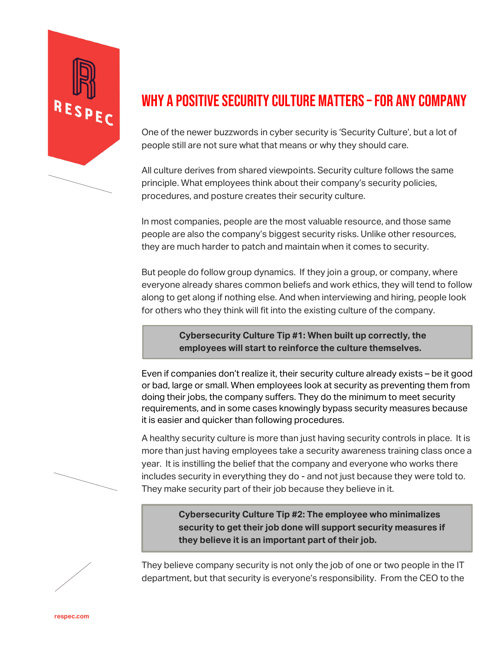

## WHY A POSITIVE SECURITY CULTURE MATTERS –FOR ANY COMPANY

One of the newer buzzwords in cyber security is 'Security Culture', but a lot of people still are not sure what that means or why they should care.

All culture derives from shared viewpoints. Security culture follows the same principle. What employees think about their company's security policies, procedures, and posture creates their security culture.

In most companies, people are the most valuable resource, and those same people are also the company's biggest security risks. Unlike other resources, they are much harder to patch and maintain when it comes to security.

But people do follow group dynamics. If they join a group, or company, where everyone already shares common beliefs and work ethics, they will tend to follow along to get along if nothing else. And when interviewing and hiring, people look for others who they think will fit into the existing culture of the company.

> **Cybersecurity Culture Tip #1: When built up correctly, the employees will start to reinforce the culture themselves.**

Even if companies don't realize it, their security culture already exists – be it good or bad, large or small. When employees look at security as preventing them from doing their jobs, the company suffers. They do the minimum to meet security requirements, and in some cases knowingly bypass security measures because it is easier and quicker than following procedures.

A healthy security culture is more than just having security controls in place. It is more than just having employees take a security awareness training class once a year. It is instilling the belief that the company and everyone who works there includes security in everything they do - and not just because they were told to. They make security part of their job because they believe in it.

> **Cybersecurity Culture Tip #2: The employee who minimalizes security to get their job done will support security measures if they believe it is an important part of their job.**

They believe company security is not only the job of one or two people in the IT department, but that security is everyone's responsibility. From the CEO to the



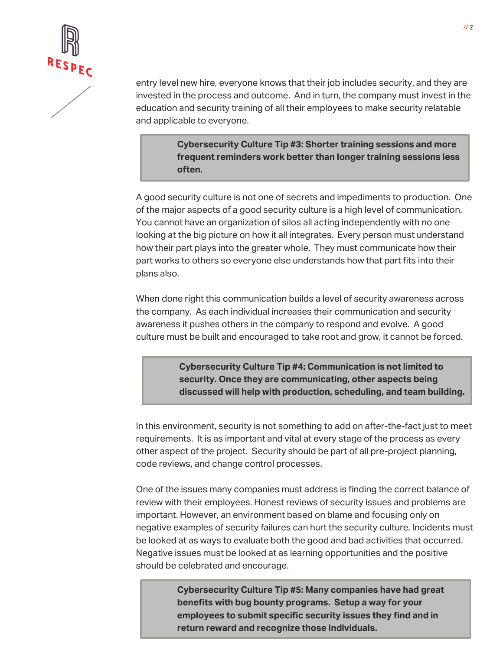

entry level new hire, everyone knows that their job includes security, and they are invested in the process and outcome. And in turn, the company must invest in the education and security training of all their employees to make security relatable and applicable to everyone.

> **Cybersecurity Culture Tip #3: Shorter training sessions and more frequent reminders work better than longer training sessions less often.**

A good security culture is not one of secrets and impediments to production. One of the major aspects of a good security culture is a high level of communication. You cannot have an organization of silos all acting independently with no one looking at the big picture on how it all integrates. Every person must understand how their part plays into the greater whole. They must communicate how their part works to others so everyone else understands how that part fits into their plans also.

When done right this communication builds a level of security awareness across the company. As each individual increases their communication and security awareness it pushes others in the company to respond and evolve. A good culture must be built and encouraged to take root and grow, it cannot be forced.

> **Cybersecurity Culture Tip #4: Communication is not limited to security. Once they are communicating, other aspects being discussed will help with production, scheduling, and team building.**

In this environment, security is not something to add on after-the-fact just to meet requirements. It is as important and vital at every stage of the process as every other aspect of the project. Security should be part of all pre-project planning, code reviews, and change control processes.

One of the issues many companies must address is finding the correct balance of review with their employees. Honest reviews of security issues and problems are important. However, an environment based on blame and focusing only on negative examples of security failures can hurt the security culture. Incidents must be looked at as ways to evaluate both the good and bad activities that occurred. Negative issues must be looked at as learning opportunities and the positive should be celebrated and encourage.

> **Cybersecurity Culture Tip #5: Many companies have had great benefits with bug bounty programs. Setup a way for your employees to submit specific security issues they find and in return reward and recognize those individuals.**